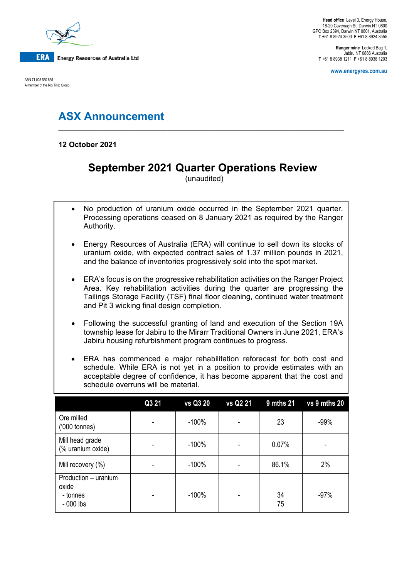

ABN 71 008 550 865 A member of the Rio Tinto Group

**Ranger mine** Locked Bag 1, Jabiru NT 0886 Australia **T** +61 8 8938 1211 **F** +61 8 8938 1203

**www.energyres.com.au**

# **ASX Announcement**

**12 October 2021**

## **September 2021 Quarter Operations Review**

**\_\_\_\_\_\_\_\_\_\_\_\_\_\_\_\_\_\_\_\_\_\_\_\_\_\_\_\_\_\_\_\_\_\_\_\_\_\_\_\_\_\_\_\_\_\_\_\_\_\_\_\_\_\_\_\_\_\_\_\_\_\_\_\_\_\_\_\_**

(unaudited)

- No production of uranium oxide occurred in the September 2021 quarter. Processing operations ceased on 8 January 2021 as required by the Ranger Authority.
- Energy Resources of Australia (ERA) will continue to sell down its stocks of uranium oxide, with expected contract sales of 1.37 million pounds in 2021, and the balance of inventories progressively sold into the spot market.
- ERA's focus is on the progressive rehabilitation activities on the Ranger Project Area. Key rehabilitation activities during the quarter are progressing the Tailings Storage Facility (TSF) final floor cleaning, continued water treatment and Pit 3 wicking final design completion.
- Following the successful granting of land and execution of the Section 19A township lease for Jabiru to the Mirarr Traditional Owners in June 2021, ERA's Jabiru housing refurbishment program continues to progress.
- ERA has commenced a major rehabilitation reforecast for both cost and schedule. While ERA is not yet in a position to provide estimates with an acceptable degree of confidence, it has become apparent that the cost and schedule overruns will be material.

|                                                         | Q3 21 | vs Q3 20 | vs Q2 21 | <b>9 mths 21</b> | vs 9 mths 20 |
|---------------------------------------------------------|-------|----------|----------|------------------|--------------|
| Ore milled<br>$(000 \text{ tonnes})$                    |       | $-100%$  |          | 23               | $-99%$       |
| Mill head grade<br>(% uranium oxide)                    |       | $-100%$  |          | 0.07%            |              |
| Mill recovery (%)                                       |       | $-100%$  |          | 86.1%            | 2%           |
| Production - uranium<br>oxide<br>- tonnes<br>$-000$ lbs |       | $-100%$  |          | 34<br>75         | $-97%$       |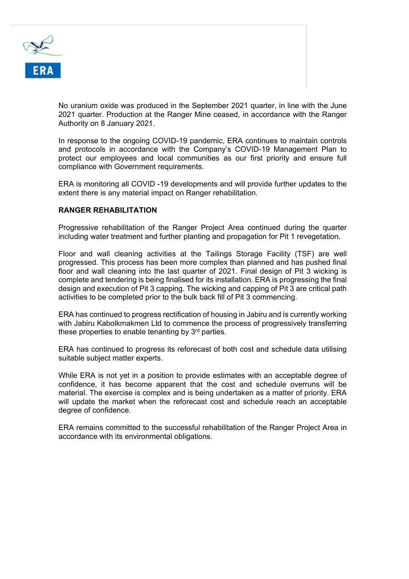

No uranium oxide was produced in the September 2021 quarter, in line with the June 2021 quarter. Production at the Ranger Mine ceased, in accordance with the Ranger Authority on 8 January 2021.

In response to the ongoing COVID-19 pandemic, ERA continues to maintain controls and protocols in accordance with the Company's COVID-19 Management Plan to protect our employees and local communities as our first priority and ensure full compliance with Government requirements.

ERA is monitoring all COVID -19 developments and will provide further updates to the extent there is any material impact on Ranger rehabilitation.

#### **RANGER REHABILITATION**

Progressive rehabilitation of the Ranger Project Area continued during the quarter including water treatment and further planting and propagation for Pit 1 revegetation.

Floor and wall cleaning activities at the Tailings Storage Facility (TSF) are well progressed. This process has been more complex than planned and has pushed final floor and wall cleaning into the last quarter of 2021. Final design of Pit 3 wicking is complete and tendering is being finalised for its installation. ERA is progressing the final design and execution of Pit 3 capping. The wicking and capping of Pit 3 are critical path activities to be completed prior to the bulk back fill of Pit 3 commencing.

ERA has continued to progress rectification of housing in Jabiru and is currently working with Jabiru Kabolkmakmen Ltd to commence the process of progressively transferring these properties to enable tenanting by  $3<sup>rd</sup>$  parties.

ERA has continued to progress its reforecast of both cost and schedule data utilising suitable subject matter experts.

While ERA is not yet in a position to provide estimates with an acceptable degree of confidence, it has become apparent that the cost and schedule overruns will be material. The exercise is complex and is being undertaken as a matter of priority. ERA will update the market when the reforecast cost and schedule reach an acceptable degree of confidence.

ERA remains committed to the successful rehabilitation of the Ranger Project Area in accordance with its environmental obligations.